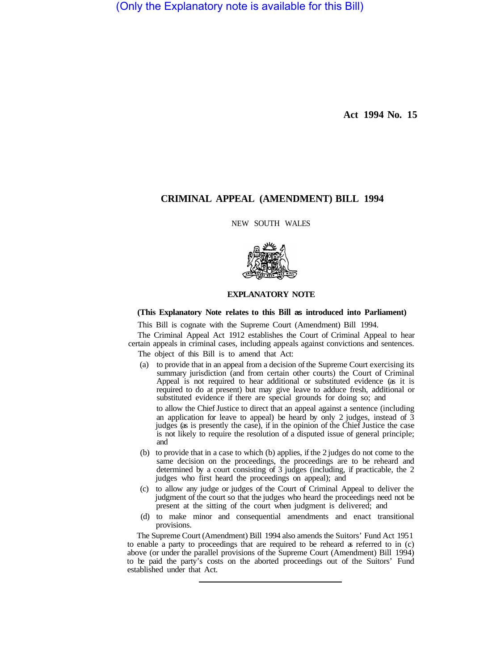(Only the Explanatory note is available for this Bill)

**Act 1994 No. 15** 

## **CRIMINAL APPEAL (AMENDMENT) BILL 1994**

#### NEW SOUTH WALES



#### **EXPLANATORY NOTE**

### **(This Explanatory Note relates to this Bill as introduced into Parliament)**

This Bill is cognate with the Supreme Court (Amendment) Bill 1994.

The Criminal Appeal Act 1912 establishes the Court of Criminal Appeal to hear certain appeals in criminal cases, including appeals against convictions and sentences.

The object of this Bill is to amend that Act:

(a) to provide that in an appeal from a decision of the Supreme Court exercising its summary jurisdiction (and from certain other courts) the Court of Criminal Appeal is not required to hear additional or substituted evidence (as it is required to do at present) but may give leave to adduce fresh, additional or substituted evidence if there are special grounds for doing so; and

to allow the Chief Justice to direct that an appeal against a sentence (including an application for leave to appeal) be heard by only 2 judges, instead of  $\overline{3}$ judges (as is presently the case), if in the opinion of the Chief Justice the case is not likely to require the resolution of a disputed issue of general principle; and

- (b) to provide that in a case to which (b) applies, if the 2 judges do not come to the same decision on the proceedings, the proceedings are to be reheard and determined by a court consisting of 3 judges (including, if practicable, the 2 judges who first heard the proceedings on appeal); and
- (c) to allow any judge or judges of the Court of Criminal Appeal to deliver the judgment of the court so that the judges who heard the proceedings need not be present at the sitting of the court when judgment is delivered; and
- (d) to make minor and consequential amendments and enact transitional provisions.

The Supreme Court (Amendment) Bill 1994 also amends the Suitors' Fund Act 195 1 to enable a party to proceedings that are required to be reheard as referred to in (c) above (or under the parallel provisions of the Supreme Court (Amendment) Bill 1994) to be paid the party's costs on the aborted proceedings out of the Suitors' Fund established under that Act.